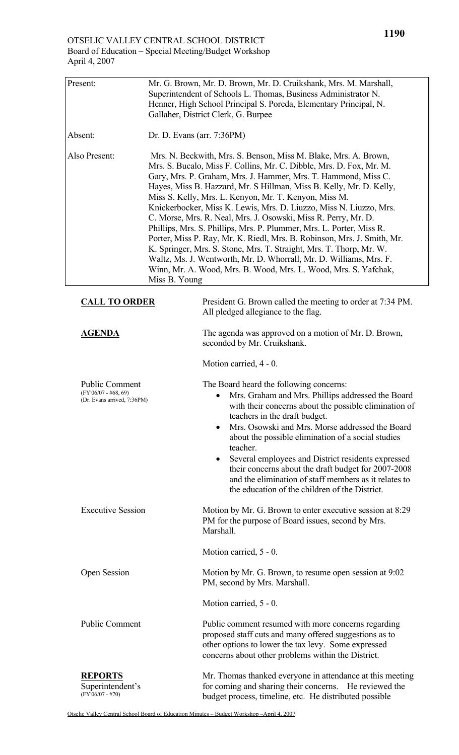| Present:                                                                       | Mr. G. Brown, Mr. D. Brown, Mr. D. Cruikshank, Mrs. M. Marshall,<br>Superintendent of Schools L. Thomas, Business Administrator N.<br>Henner, High School Principal S. Poreda, Elementary Principal, N.<br>Gallaher, District Clerk, G. Burpee                                                                                                                                                                                                                                                                                                                                                                                                                                                                                                                                                                                                                       |                                                                                                                                                                                                                                                                                                                                                                                                                                                                                                                                                  |
|--------------------------------------------------------------------------------|----------------------------------------------------------------------------------------------------------------------------------------------------------------------------------------------------------------------------------------------------------------------------------------------------------------------------------------------------------------------------------------------------------------------------------------------------------------------------------------------------------------------------------------------------------------------------------------------------------------------------------------------------------------------------------------------------------------------------------------------------------------------------------------------------------------------------------------------------------------------|--------------------------------------------------------------------------------------------------------------------------------------------------------------------------------------------------------------------------------------------------------------------------------------------------------------------------------------------------------------------------------------------------------------------------------------------------------------------------------------------------------------------------------------------------|
| Absent:                                                                        | Dr. D. Evans (arr. $7:36PM$ )                                                                                                                                                                                                                                                                                                                                                                                                                                                                                                                                                                                                                                                                                                                                                                                                                                        |                                                                                                                                                                                                                                                                                                                                                                                                                                                                                                                                                  |
| Also Present:                                                                  | Mrs. N. Beckwith, Mrs. S. Benson, Miss M. Blake, Mrs. A. Brown,<br>Mrs. S. Bucalo, Miss F. Collins, Mr. C. Dibble, Mrs. D. Fox, Mr. M.<br>Gary, Mrs. P. Graham, Mrs. J. Hammer, Mrs. T. Hammond, Miss C.<br>Hayes, Miss B. Hazzard, Mr. S Hillman, Miss B. Kelly, Mr. D. Kelly,<br>Miss S. Kelly, Mrs. L. Kenyon, Mr. T. Kenyon, Miss M.<br>Knickerbocker, Miss K. Lewis, Mrs. D. Liuzzo, Miss N. Liuzzo, Mrs.<br>C. Morse, Mrs. R. Neal, Mrs. J. Osowski, Miss R. Perry, Mr. D.<br>Phillips, Mrs. S. Phillips, Mrs. P. Plummer, Mrs. L. Porter, Miss R.<br>Porter, Miss P. Ray, Mr. K. Riedl, Mrs. B. Robinson, Mrs. J. Smith, Mr.<br>K. Springer, Mrs. S. Stone, Mrs. T. Straight, Mrs. T. Thorp, Mr. W.<br>Waltz, Ms. J. Wentworth, Mr. D. Whorrall, Mr. D. Williams, Mrs. F.<br>Winn, Mr. A. Wood, Mrs. B. Wood, Mrs. L. Wood, Mrs. S. Yafchak,<br>Miss B. Young |                                                                                                                                                                                                                                                                                                                                                                                                                                                                                                                                                  |
| <b>CALL TO ORDER</b>                                                           |                                                                                                                                                                                                                                                                                                                                                                                                                                                                                                                                                                                                                                                                                                                                                                                                                                                                      | President G. Brown called the meeting to order at 7:34 PM.<br>All pledged allegiance to the flag.                                                                                                                                                                                                                                                                                                                                                                                                                                                |
| <b>AGENDA</b>                                                                  |                                                                                                                                                                                                                                                                                                                                                                                                                                                                                                                                                                                                                                                                                                                                                                                                                                                                      | The agenda was approved on a motion of Mr. D. Brown,<br>seconded by Mr. Cruikshank.                                                                                                                                                                                                                                                                                                                                                                                                                                                              |
|                                                                                |                                                                                                                                                                                                                                                                                                                                                                                                                                                                                                                                                                                                                                                                                                                                                                                                                                                                      | Motion carried, 4 - 0.                                                                                                                                                                                                                                                                                                                                                                                                                                                                                                                           |
| <b>Public Comment</b><br>$(FY'06/07 - #68, 69)$<br>(Dr. Evans arrived, 7:36PM) |                                                                                                                                                                                                                                                                                                                                                                                                                                                                                                                                                                                                                                                                                                                                                                                                                                                                      | The Board heard the following concerns:<br>Mrs. Graham and Mrs. Phillips addressed the Board<br>with their concerns about the possible elimination of<br>teachers in the draft budget.<br>Mrs. Osowski and Mrs. Morse addressed the Board<br>$\bullet$<br>about the possible elimination of a social studies<br>teacher.<br>Several employees and District residents expressed<br>their concerns about the draft budget for 2007-2008<br>and the elimination of staff members as it relates to<br>the education of the children of the District. |
| <b>Executive Session</b>                                                       |                                                                                                                                                                                                                                                                                                                                                                                                                                                                                                                                                                                                                                                                                                                                                                                                                                                                      | Motion by Mr. G. Brown to enter executive session at 8:29<br>PM for the purpose of Board issues, second by Mrs.<br>Marshall.                                                                                                                                                                                                                                                                                                                                                                                                                     |
|                                                                                |                                                                                                                                                                                                                                                                                                                                                                                                                                                                                                                                                                                                                                                                                                                                                                                                                                                                      | Motion carried, 5 - 0.                                                                                                                                                                                                                                                                                                                                                                                                                                                                                                                           |
| <b>Open Session</b>                                                            |                                                                                                                                                                                                                                                                                                                                                                                                                                                                                                                                                                                                                                                                                                                                                                                                                                                                      | Motion by Mr. G. Brown, to resume open session at 9:02<br>PM, second by Mrs. Marshall.                                                                                                                                                                                                                                                                                                                                                                                                                                                           |
|                                                                                |                                                                                                                                                                                                                                                                                                                                                                                                                                                                                                                                                                                                                                                                                                                                                                                                                                                                      | Motion carried, 5 - 0.                                                                                                                                                                                                                                                                                                                                                                                                                                                                                                                           |
| <b>Public Comment</b>                                                          |                                                                                                                                                                                                                                                                                                                                                                                                                                                                                                                                                                                                                                                                                                                                                                                                                                                                      | Public comment resumed with more concerns regarding<br>proposed staff cuts and many offered suggestions as to<br>other options to lower the tax levy. Some expressed<br>concerns about other problems within the District.                                                                                                                                                                                                                                                                                                                       |
| <b>REPORTS</b><br>Superintendent's<br>$(FY'06/07 - #70)$                       |                                                                                                                                                                                                                                                                                                                                                                                                                                                                                                                                                                                                                                                                                                                                                                                                                                                                      | Mr. Thomas thanked everyone in attendance at this meeting<br>for coming and sharing their concerns. He reviewed the<br>budget process, timeline, etc. He distributed possible                                                                                                                                                                                                                                                                                                                                                                    |